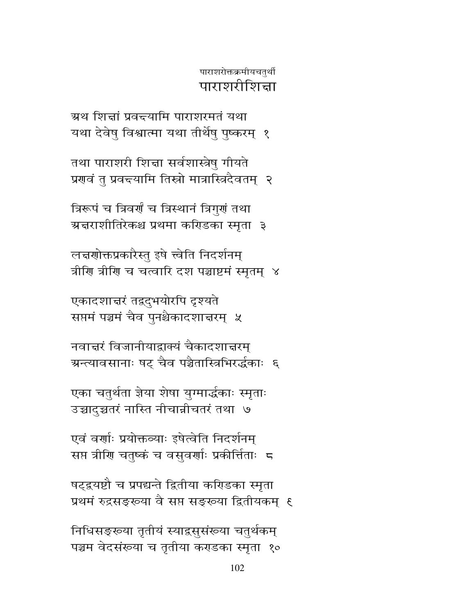निधिसङ्ख्या तृतीयं स्याद्रसुसंख्या चतुर्थकम् पञ्चम वेदसंख्या च तृतीया कराडका स्मृता १०

102

षट्द्रयष्टौ च प्रपद्यन्ते द्वितीया करिडका स्मृता प्रथमं रुद्रसङ्ख्या वै सप्त सङ्ख्या द्वितीयकम् १

एवं वर्णाः प्रयोक्तव्याः इषेत्वेति निदर्शनम् सप्त त्रीणि चतुष्कं च वसुवर्णाः प्रकीर्तिताः 5

एका चतुर्थता ज्ञेया शेषा युग्मार्द्धकाः स्मृताः उच्चादुच्चतरं नास्ति नीचान्नीचतरं तथा ७

नवाद्मरं विजानीयाद्राक्यं चैकादशाद्मरम् ग्रन्त्यावसानाः षट् चैव पञ्चैतास्त्रिभिरर्द्धकाः ६

एकादशाचरं तद्रदुभयोरपि दृश्यते सप्तमं पञ्चमं चैव पुनश्चैकादशात्तरम् ५

लचरणोक्तप्रकारैस्तु इषे त्त्वेति निदर्शनम् त्रीणि त्रीणि च चत्वारि दश पञ्चाष्टमं स्मृतम् ४

त्रिरूपं च त्रिवर्णं च त्रिस्थानं त्रिगुर्गं तथा ग्रज्ञराशीतिरेकश्च प्रथमा करिडका स्मृता ३

तथा पाराशरी शिद्मा सर्वशास्त्रेषु गीयते प्रणवं तु प्रवद्त्यामि तिस्रो मात्रास्त्रिदैवतम् २

ग्रथ शिर्बा प्रवन्त्यामि पाराशरमतं यथा यथा देवेषु विश्वात्मा यथा तीर्थेषु पुष्करम् १

पाराशरोक्तक्रमीयचतुर्थी पाराशरीशित्ता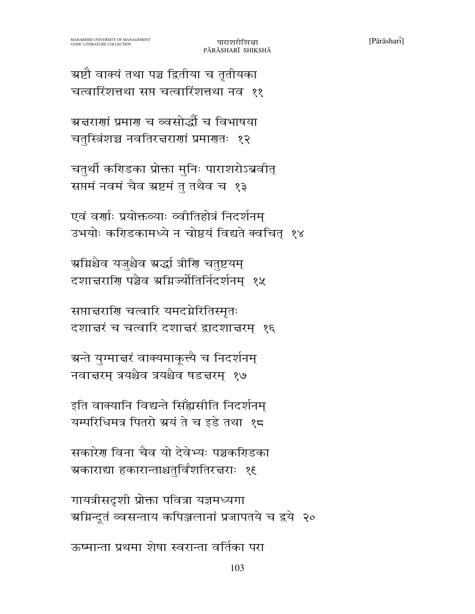ग्रष्टौ वाक्यं तथा पञ्च द्वितीया च तृतीयका चत्वारिंशत्तथा सप्त चत्वारिंशत्तथा नव ११

ग्रज्ञराणां प्रमाण च व्वसोद्धौं च विभाषया चतुस्त्रिंशच्च नवतिरचराणां प्रमाणतः १२

चतुर्थी करिडका प्रोक्ता मुनिः पाराशरोऽब्रवीत् सप्तमं नवमं चैव ग्रष्टमं तु तथैव च १३

एवं वर्णाः प्रयोक्तव्याः व्वीतिहोत्रं निदर्शनम् उभयोः करिडकामध्ये न चोष्ठयं विद्यते क्वचित् १४

ग्रग्निश्चैव यजुश्चैव ग्रद्धां त्रीणि चतुष्टयम् दशाचराणि पञ्चैव अग्निज्यौतिर्निदर्शनम् १५

सप्तान्नराणि चत्वारि यमदग्नेरितिस्मृतः दशाद्मरं च चत्वारि दशाद्मरं द्वादशाद्मरम् १६

ग्रन्ते युग्मात्तरं वाक्यमाकूत्त्यै च निदर्शनम् नवात्तरम् त्रयश्चैव त्रयश्चैव षडत्तरम् १७

इति वाक्यानि विद्यन्ते सिँह्यसीति निदर्शनम् यम्परिधिमत्र पितरो ग्रयं ते च इडे तथा १८

सकारेग विना चैव यो देवेभ्यः पञ्चकरिडका ग्रकाराद्या हकारान्ताश्चतुर्विंशतिरत्तराः १६

गायत्रीसदृशी प्रोक्ता पवित्रा यज्ञमध्यगा ग्रग्निन्दूतं व्वसन्ताय कपिञ्जलानां प्रजापतये च द्वये २०

ऊष्मान्ता प्रथमा शेषा स्वरान्ता वर्तिका परा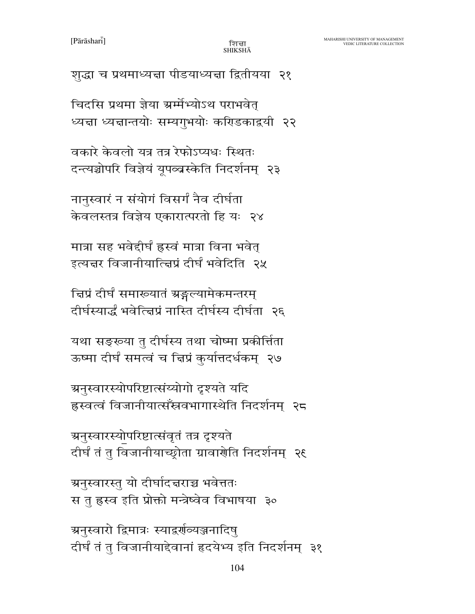शुद्धा च प्रथमाध्यज्ञा पीडयाध्यज्ञा द्वितीयया २१

चिदसि प्रथमा ज्ञेया ग्रर्म्मभ्योऽथ पराभवेत् ध्यज्ञा ध्यज्ञान्तयोः सम्यगुभयोः करिडकाद्वयी २२

वकारे केवलो यत्र तत्र रेफोऽप्यधः स्थितः दन्त्यञ्चोपरि विज्ञेयं यूपव्वस्केति निदर्शनम् २३

नानुस्वारं न संयोगं विसर्गं नैव दीर्घता केवलस्तत्र विज्ञेय एकारात्परतो हि यः २४

मात्रा सह भवेद्दीर्घं ह्रस्वं मात्रा विना भवेत् इत्यत्तर विजानीयात्त्विप्रं दीर्घं भवेदिति २५

द्विप्रं दीर्घं समाख्यातं ग्रङ्गल्यामेकमन्तरम् दीर्घस्यार्द्धं भवेत्त्विप्रं नास्ति दीर्घस्य दीर्घता २६

यथा सङ्ख्या तु दीर्घस्य तथा चोष्मा प्रकीर्त्तिता ऊष्मा दीर्घं समत्वं च चिप्रं कुर्यात्तदर्धकम् २७

ग्रनुस्वारस्योपरिष्टात्संय्योगो दृश्यते यदि ह्रस्वत्वं विजानीयात्सँस्रवभागास्थेति निदर्शनम् २८

ञ्चनुस्वारस्योपरिष्टात्संवृतं तत्र दृश्यते दीर्घं तं तु विजानीयाच्छ्रोता ग्रावार्णेति निदर्शनम् २९

अनुस्वारस्तु यो दीर्घादचराच्च भवेत्ततः स तु ह्रस्व इति प्रोक्तो मन्त्रेष्वेव विभाषया ३०

ग्रनुस्वारो द्विमात्रः स्याद्रर्णव्यञ्जनादिष् दीर्घं तं तु विजानीयाद्देवानां हृदयेभ्य इति निदर्शनम् ३१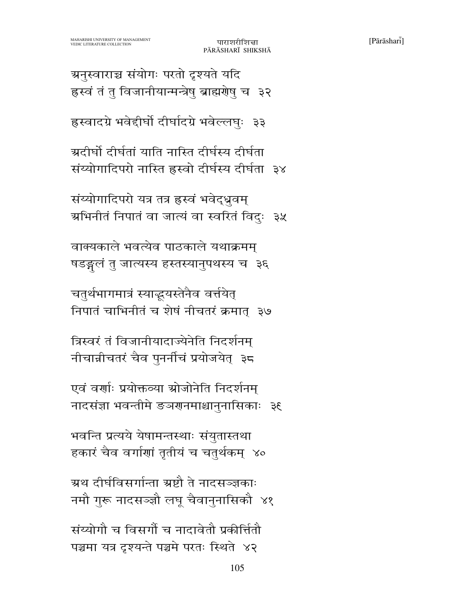संय्योगौ च विसर्गों च नादावेतौ प्रकीर्तितौ पञ्चमा यत्र दृश्यन्ते पञ्चमे परतः स्थिते ४२

ग्रथ दीर्घविसर्गान्ता ग्रष्टौ ते नादसञ्जकाः नमौ गुरू नादसञ्ज्ञौ लघु चैवानुनासिकौ ४१

भवन्ति प्रत्यये येषामन्तस्थाः संयुतास्तथा हकारं चैव वर्गाणां तृतीयं च चतुर्थकम् ४०

एवं वर्णाः प्रयोक्तव्या स्रोजोनेति निदर्शनम् नादसंज्ञा भवन्तीमे ङञगनमाश्चानुनासिकाः ३६

त्रिस्वरं तं विजानीयादाज्येनेति निदर्शनम नीचान्नीचतरं चैव पुनर्नीचं प्रयोजयेत् ३८

चतुर्थभागमात्रं स्याद्भयस्तेनैव वर्त्तयेत् निपातं चाभिनीतं च शेषं नीचतरं क्रमात् ३७

वाक्यकाले भवत्येव पाठकाले यथाक्रमम् षडङ्गलं तु जात्यस्य हस्तस्यानुपथस्य च) ३६

संय्योगादिपरो यत्र तत्र हस्वं भवेद्धूवम् ग्रभिनीतं निपातं वा जात्यं वा स्वरितं विदुः ३५

ग्र्यदीर्घो दीर्घतां याति नास्ति दीर्घस्य दीर्घता संय्योगादिपरो नास्ति ह्रस्वो दीर्घस्य दीर्घता ३४

ह्रस्वादग्रे भवेद्दीर्घो दीर्घादग्रे भवेल्लघुः ३३

ग्रनुस्वाराच्च संयोगः परतो दृश्यते यदि ह्रस्वं तं तु विजानीयान्मन्त्रेषु ब्राह्मरोषु च ३२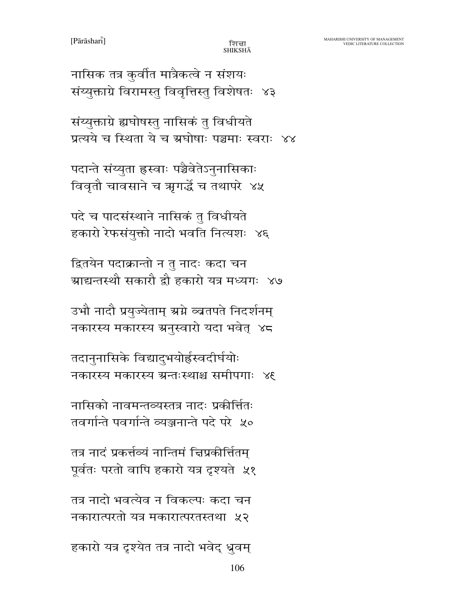$[Pa\bar{r}\bar{a}shar\bar{i}]$ 

नासिक तत्र कुर्वीत मात्रैकत्वे न संशयः संय्युक्ताग्रे विरामस्तु विवृत्तिस्तु विशेषतः ४३

संय्युक्ताग्रे ह्यघोषस्तु नासिकं तु विधीयते प्रत्यये च स्थिता ये च ग्रघोषाः पञ्चमाः स्वराः ४४

पदान्ते संय्युता ह्रस्वाः पञ्चैवेतेऽनुनासिकाः विवृतौ चावसाने च ऋगर्द्धे च तथापरे ४५

पदे च पादसंस्थाने नासिकं तु विधीयते हकारो रेफसंयुक्तो नादो भवति नित्यशः ४६

द्वितयेन पदाक्रान्तो न तु नादः कदा चन ग्राद्यन्तस्थौ सकारौ द्वौ हकारो यत्र मध्यगः ४७

उभौ नादौ प्रयुज्येताम् स्रग्ने व्वतपते निदर्शनम् नकारस्य मकारस्य ग्रनुस्वारो यदा भवेत् ४८

तदानुनासिके विद्यादुभयोर्हस्वदीर्घयोः नकारस्य मकारस्य ग्रन्तःस्थाश्च समीपगाः ४६

नासिको नावमन्तव्यस्तत्र नादः प्रकीर्त्तितः तवर्गान्ते पवर्गान्ते व्यञ्जनान्ते पदे परे ५०

तत्र नादं प्रकर्त्तव्यं नान्तिमं चिप्रकीर्त्तितम् पूर्वतः परतो वापि हकारो यत्र दृश्यते ५१

तत्र नादो भवत्येव न विकल्पः कदा चन नकारात्परतो यत्र मकारात्परतस्तथा ५२

हकारो यत्र दृश्येत तत्र नादो भवेद् ध्रुवम्

106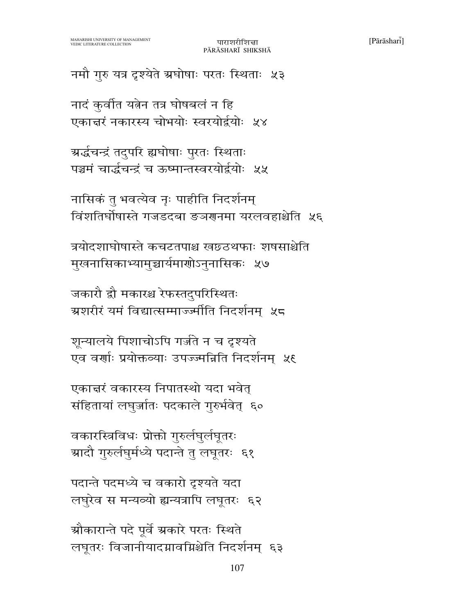नमौ गुरु यत्र दृश्येते ग्रघोषाः परतः स्थिताः ५३

नादं कुर्वात यतेन तत्र घोषबलं न हि एकाद्मरं नकारस्य चोभयोः स्वरयोर्द्वयोः ५४

ग्रर्द्धचन्द्रं तदुपरि ह्यघोषाः पुरतः स्थिताः पञ्चमं चार्द्धचन्द्रं च ऊष्मान्तस्वरयोर्द्वयोः ५५

नासिकं तु भवत्येव नृः पाहीति निदर्शनम् विंशतिर्घोषास्ते गजडदबा ङञगनमा यरलवहाश्चेति ५६

त्रयोदशाघोषास्ते कचटतपाश्च खछठथफाः शषसाश्चेति मुखनासिकाभ्यामुच्चार्यमाणोऽनुनासिकः ५७

जकारौ द्रौ मकारश्च रेफस्तदुपरिस्थितः ग्रशरीरं यमं विद्यात्सम्माज्ज्मीति निदर्शनम ५८

शून्यालये पिशाचोऽपि गर्ज़ते न च दृश्यते एव वर्णाः प्रयोक्तव्याः उपज्ज्मन्निति निदर्शनम् ५६

एकात्तरं वकारस्य निपातस्थो यदा भवेत् संहितायां लघुर्जातः पदकाले गुरुर्भवेत् ६०

वकारस्त्रिविधः प्रोक्तो गुरुर्लघुर्लघूतरः ग्रादौ गुरुर्लघुर्मध्ये पदान्ते तु लघुतरः ६१

पदान्ते पदमध्ये च वकारो दृश्यते यदा लघुरेव स मन्यव्यो ह्यन्यत्रापि लघूतरः ६२

ग्रौकारान्ते पदे पूर्वे ग्रकारे परतः स्थिते लघूतरः विजानीयादग्रावग्निश्चेति निदर्शनम् ६३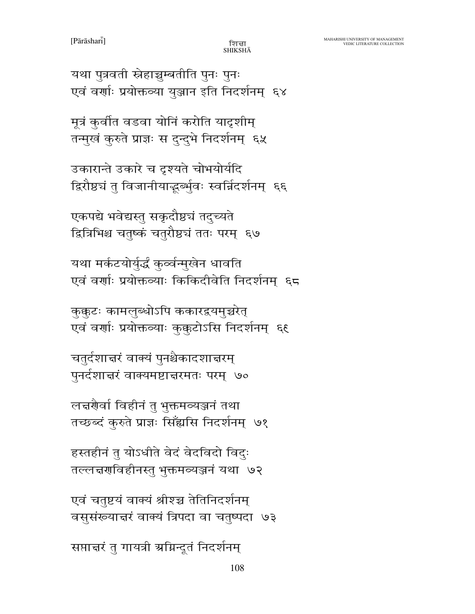108

सप्ताचरं तु गायत्री अग्निन्दूतं निदर्शनम्

एवं चतुष्टयं वाक्यं श्रीश्च तेतिनिदर्शनम् वसुसंख्यान्नरं वाक्यं त्रिपदा वा चतुष्पदा ७३

हस्तहीनं तु योऽधीते वेदं वेदविदो विदः तल्लचरणविहीनस्तु भुक्तमव्यञ्जनं यथा ७२

लच्चेषर्वा विहीनं तु भुक्तमव्यञ्जनं तथा तच्छब्दं कुरुते प्राज्ञः सिँह्यसि निदर्शनम् ७१

चतुर्दशाचरं वाक्यं पुनश्चैकादशाचरम् पुनर्दशात्तरं वाक्यमष्टात्तरमतः परम् ७०

कक्कटः कामलब्धोऽपि ककारद्रयमच्चरेत् एवं वर्णाः प्रयोक्तव्याः कुक्कुटोऽसि निदर्शनम् ६६

यथा मर्कटयोर्युर्द्धं कुर्व्वन्मुखेन धावति एवं वर्णाः प्रयोक्तव्याः किकिदीवेति निदर्शनम् ६८

एकपद्ये भवेद्यस्तु सकृदौष्ठचं तदुच्यते द्वित्रिभिश्च चतुष्कं चतुरौष्ठचं ततः परम् ६७

उकारान्ते उकारे च दृश्यते चोभयोर्यदि द्विरौष्ठचं तु विजानीयाद्धर्त्भुवः स्वर्न्निदर्शनम् ६६

मूत्रं कुर्वीत वडवा योनिं करोति यादृशीम् तन्मुखं कुरुते प्राज्ञः स दुन्दुभे निदर्शनम् ६५

यथा पुत्रवती स्नेहाच्चुम्बतीति पुनः पुनः एवं वर्णाः प्रयोक्तव्या युञ्जान इति निदर्शनम् ६४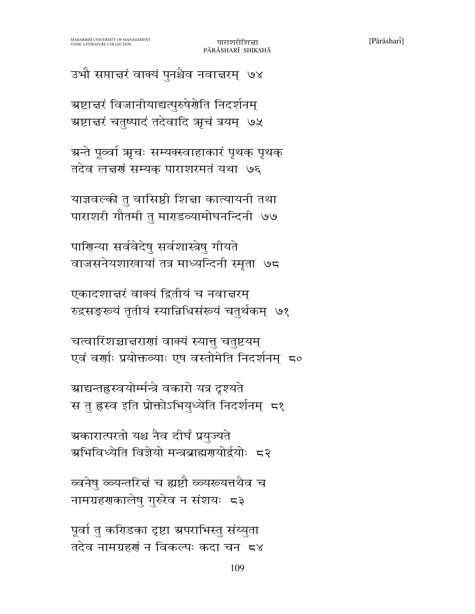पूर्वा तु करिडका दृष्टा ग्रपराभिस्तु संय्युता तदेव नामग्रहणं न विकल्पः कदा चन ८४

व्वनेष ळ्यन्तरित्तं च ह्यष्टौ ळ्यरूयत्तथैव च नामग्रहणकालेषु गुरुरेव न संशयः 5३

ग्रकारात्परतो यश्च नैव दीर्घं प्रयुज्यते ग्रभिविध्येति विज्ञेयो मन्त्रब्राह्मणयोर्द्वयोः 5२

ग्राद्यन्तहस्वयोर्म्मन्त्रे वकारो यत्र दृश्यते स तु ह्रस्व इति प्रोक्तोऽभियुध्येति निदर्शनम् 5१

चत्वारिंशच्चात्तराणां वाक्यं स्यात् चतुष्टयम् एवं वर्णाः प्रयोक्तव्याः एष वस्तोमेति निदर्शनम् 50

एकादशाद्मरं वाक्यं द्वितीयं च नवाद्मरम् रुद्रसङ्ख्यं तृतीयं स्यान्निधिसंख्यं चतुर्थकम् ७१

पाणिन्या सर्ववेदेषु सर्वशास्त्रेषु गीयते वाजसनेयशाखायां तत्र माध्यन्दिनी स्मृता ७८

याज्ञवल्की तु वासिष्ठी शिद्मा कात्यायनी तथा पाराशरी गौतमी तु माराडव्यामोघनन्दिनी ७७

ग्रन्ते पूर्व्वा ऋचः सम्यक्स्वाहाकारं पृथक् पृथक् तदेव लच्चणं सम्यक पाराशरमतं यथा ७६

ग्रष्टाचरं विजानीयाद्यत्पुरुषेर्णेति निदर्शनम् ग्रष्टात्तरं चतुष्पादं तदेवादि ऋचं त्रयम् ७५

उभौ सप्ताचरं वाक्यं पुनश्चैव नवाचरम् ७४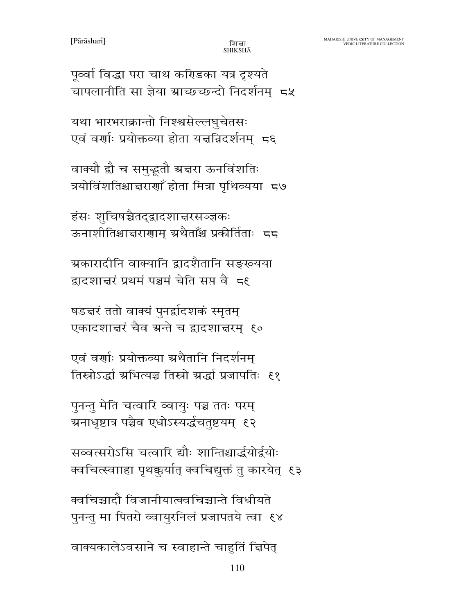पूर्व्वा विद्धा परा चाथ करिडका यत्र दृश्यते चापलानीति सा ज्ञेया ग्राच्छच्छन्दो निदर्शनम् 5%

यथा भारभराक्रान्तो निश्श्वसेल्लघुचेतसः एवं वर्णाः प्रयोक्तव्या होता यज्ञन्निदर्शनम् 5६

वाक्यौ द्रौ च समुद्भूतौ ग्रज्ञरा ऊनविंशतिः त्रयोविंशतिश्चात्तराणाँ होता मित्रा पृथिव्यया 5७

हंसः शुचिषञ्चैतद्द्वादशाचरसञ्ज्ञकः ऊनाशीतिश्चात्तराणाम् ग्रथैताँश्च प्रकीर्तिताः 55

ग्रकारादीनि वाक्यानि द्वादशैतानि सङ्ख्यया द्वादशाद्मरं प्रथमं पञ्चमं चेति सप्त वैज्ञह

षडद्मरं ततो वाक्यं पुनर्द्वादशकं स्मृतम् एकादशाचरं चैव ग्रन्ते च द्वादशाचरम् ६०

एवं वर्णाः प्रयोक्तव्या ग्रथैतानि निदर्शनम् तिस्रोऽर्द्धा ग्रभित्यञ्च तिस्रो ग्रर्द्धा प्रजापतिः ६१

पुनन्तु मेति चत्वारि व्वायुः पञ्च ततः परम् ग्रनाधृष्टात्र पञ्चैव एधोऽस्यर्द्धचतुष्टयम् ६२

सव्वत्सरोऽसि चत्वारि द्यौः शान्तिश्चार्द्धयोर्द्वयोः क्वचित्स्वााहा पृथक्कुर्यात् क्वचिद्युक्तं तु कारयेत् ६३

क्वचिच्चादौ विजानीयात्क्वचिच्चान्ते विधीयते पुनन्तु मा पितरो व्वायुरनिलं प्रजापतये त्वा ६४

वाक्यकालेऽवसाने च स्वाहान्ते चाहतिं चिपेत्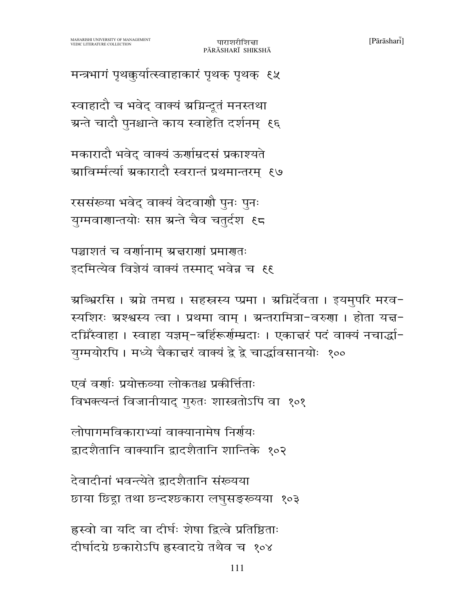छाया छिंद्दा तथा छन्दश्छकारा लघुसङ्ख्यया १०३ ह्रस्वो वा यदि वा दीर्घः शेषा द्वित्वे प्रतिष्ठिताः

दीर्घादग्रे छकारोऽपि ह्रस्वादग्रे तथैव च १०४

देवादीनां भवन्त्येते द्वादशैतानि संख्यया

लोपागमविकाराभ्यां वाक्यानामेष निर्गयः द्वादशैतानि वाक्यानि द्वादशैतानि शान्तिके १०२

एवं वर्णाः प्रयोक्तव्या लोकतश्च प्रकीर्त्तिताः विभक्त्यन्तं विजानीयाद् गुरुतः शास्त्रतोऽपि वा १०१

ग्रब्भिरसि । ग्रग्ने तमद्य । सहस्त्रस्य प्प्रमा । ग्रग्निर्देवता । इयमुपरि मरव− स्यशिरः ग्रश्श्वस्य त्वा । प्रथमा वाम् । ग्रन्तरामित्रा-वरुणा । होता यज्ञ-दग्निँस्वाहा । स्वाहा यज्ञम्-बर्हिरूर्णम्मदाः । एकाचरं पदं वाक्यं नचार्द्धा-युग्मयोरपि । मध्ये चैकात्तरं वाक्यं द्वे द्वे चार्द्धावसानयोः १००

पाराशरीशित्ता

PĀRĀSHARĪ SHIKSHĀ

रससंख्या भवेद् वाक्यं वेदवाणौ पुनः पुनः युग्मवाणान्तयोः सप्त ग्रन्ते चैव चतुर्दश ६८

इदमित्येव विज्ञेयं वाक्यं तस्माद भवेन्न च ६६

पञ्चाशतं च वर्णानाम् अचराणां प्रमाणतः

मकारादौ भवेद वाक्यं ऊर्णाम्रदसं प्रकाश्यते ग्राविर्म्मत्यां ग्रकारादौ स्वरान्तं प्रथमान्तरम् ९७

स्वाहादौ च भवेद् वाक्यं ग्रग्निन्दूतं मनस्तथा ग्रन्ते चादौ पुनश्चान्ते काय स्वाहेति दर्शनम् ६६

मन्त्रभागं पृथक्कुर्यात्स्वाहाकारं पृथक् पृथक् ६५

 $[Pa\bar{r}\bar{a}shar\bar{i}]$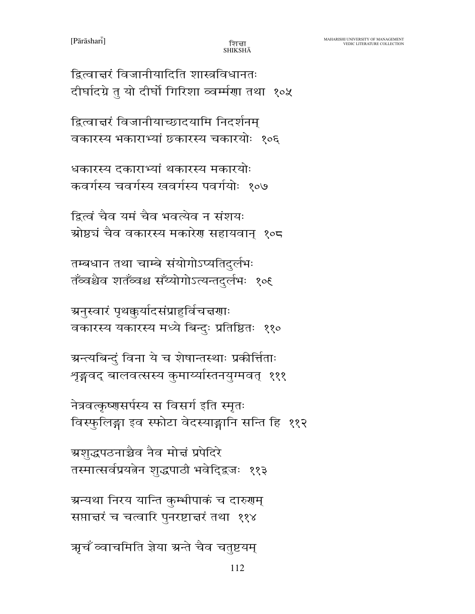ऋचँ व्वाचमिति ज्ञेया ग्रन्ते चैव चतुष्टयम्

112

ग्रन्यथा निरय यान्ति कम्भीपाकं च दारुगम् सप्तान्तरं च चत्वारि पुनरष्टान्तरं तथा ११४

ग्रशुद्धपठनाच्चैव नैव मोत्तं प्रपेदिरे तस्मात्सर्वप्रयत्नेन शुद्धपाठी भवेदिद्वजः ११३

नेत्रवत्कृष्णसर्पस्य स विसर्ग इति स्मृतः विस्फुलिङ्गा इव स्फोटा वेदस्याङ्गानि सन्ति हि ११२

ग्रन्त्यबिन्दुं विना ये च शेषान्तस्थाः प्रकीर्त्तिताः शृङ्गवद् बालवत्सस्य कुमार्य्यास्तनयुग्मवत् १११

ग्रनुस्वारं पृथकुर्यादसंप्राहुर्विचत्तरणाः वकारस्य यकारस्य मध्ये बिन्दुः प्रतिष्ठितः ११०

तम्बधान तथा चाम्बे संयोगोऽप्यतिदुर्लभः तॅंव्वश्चैव शतॅंव्वश्च सॅंय्योगोऽत्यन्तदुर्लभः १०६

द्वित्वं चैव यमं चैव भवत्येव न संशयः ग्रोष्ठचं चैव वकारस्य मकारेण सहायवान् १०८

धकारस्य दकाराभ्यां थकारस्य मकारयोः कवर्गस्य चवर्गस्य खवर्गस्य पवर्गयोः १०७

द्वित्वात्तरं विजानीयाच्छादयामि निदर्शनम् वकारस्य भकाराभ्यां छकारस्य चकारयोः १०६

द्वित्वान्तरं विजानीयादिति शास्त्रविधानतः दीर्घादग्रे तु यो दीर्घो गिरिशा व्वर्म्मणा तथा १०५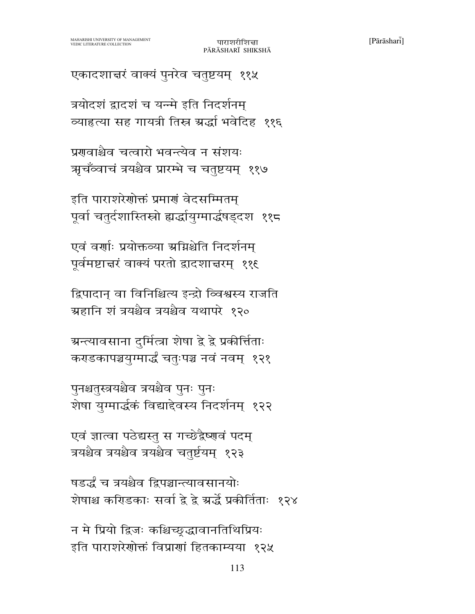षडर्द्धं च त्रयश्चैव द्विपञ्चान्त्यावसानयोः शेषाश्च करिडकाः सर्वा द्वे द्वे ग्रर्द्धे प्रकीर्तिताः १२४

एवं ज्ञात्वा पठेद्यस्तु स गच्छेद्वैष्णवं पदम् त्रयश्चैव त्रयश्चैव त्रयश्चैव चतुर्ष्टयम् १२३

न मे प्रियो द्विजः कश्चिच्छद्धावानतिथिप्रियः

इति पाराशरेणोक्तं विप्राणां हितकाम्यया १२५

पुनश्चतुस्त्रयश्चैव त्रयश्चैव पुनः पुनः शेषा युग्मार्द्धकं विद्याद्देवस्य निदर्शनम् १२२

ग्रन्त्यावसाना दुर्मित्त्रा शेषा द्वे द्वे प्रकीर्त्तिताः कराडकापञ्चयुग्मार्द्धं चतुःपञ्च नवं नवम् १२१

द्विपादान् वा विनिश्चित्य इन्द्रो व्विश्वस्य राजति ग्रहानि शं त्रयश्चैव त्रयश्चैव यथापरे १२०

एवं वर्णाः प्रयोक्तव्या ग्रग्निश्चेति निदर्शनम् पूर्वमष्टाचरं वाक्यं परतो द्वादशाचरम् ११६

इति पाराशरेणोक्तं प्रमाणं वेदसम्मितम् पूर्वा चतुर्दशास्तिस्रो ह्यर्द्धायुग्मार्द्धषड्दश ११८

प्रगावाश्चैव चत्वारो भवन्त्येव न संशयः ऋचँव्वाचं त्रयश्चैव प्रारम्भे च चतुष्टयम् ११७

त्रयोदशं द्वादशं च यन्मे इति निदर्शनम् व्याहत्या सह गायत्री तिस्र ग्रर्द्धा भवेदिह ११६

एकादशाचरं वाक्यं पुनरेव चतुष्टयम् ११५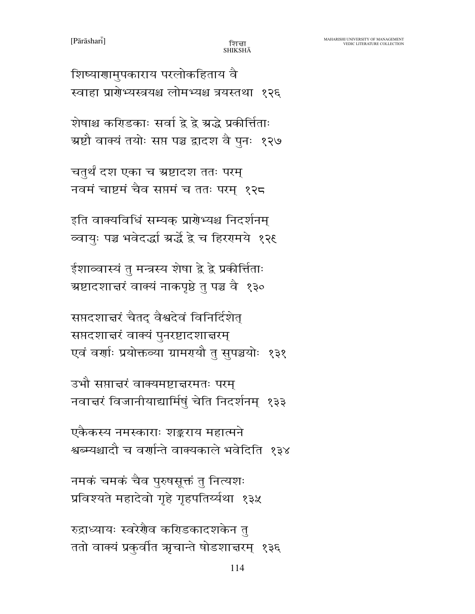शिष्याणामुपकाराय परलोकहिताय वै स्वाहा प्रारोभ्यस्त्रयश्च लोमभ्यश्च त्रयस्तथा १२६

शेषाश्च करिडकाः सर्वा द्वे द्वे ग्रद्धे प्रकीर्त्तिताः ग्रष्टौ वाक्यं तयोः सप्त पञ्च द्वादश वै पुनः १२७

चतुर्थं दश एका च ग्रष्टादश ततः परम् नवमं चाष्टमं चैव सप्तमं च ततः परम् १२८

इति वाक्यविधिं सम्यक् प्रारोभ्यश्च निदर्शनम् व्वायुः पञ्च भवेदर्द्धा ग्रर्द्धे द्वे च हिररमये १२६

ईशाव्वास्यं तु मन्त्रस्य शेषा द्वे द्वे प्रकीर्त्तिताः ग्रष्टादशात्तरं वाक्यं नाकपृष्ठे तु पञ्च वै १३०

सप्तदशाचरं चैतद् वैश्वदेवं विनिर्दिशेत् सप्तदशाचरं वाक्यं पुनरष्टादशाचरम् एवं वर्णाः प्रयोक्तव्या ग्रामरायौ तु सुपञ्चयोः १३१

उभौ सप्तान्तरं वाक्यमष्टात्तरमतः परम् नवाचरं विजानीयाद्यार्मिषुं चेति निदर्शनम् १३३

एकैकस्य नमस्काराः शङ्कराय महात्मने श्वब्म्यश्चादौ च वर्णान्ते वाक्यकाले भवेदिति १३४

नमकं चमकं चैव पुरुषसूक्तं तु नित्यशः प्रविश्यते महादेवो गृहे गृहपतिर्य्यथा १३५

रुद्राध्यायः स्वरेगैव करिडकादशकेन त ततो वाक्यं प्रकुर्वीत ऋचान्ते षोडशाचरम् १३६

114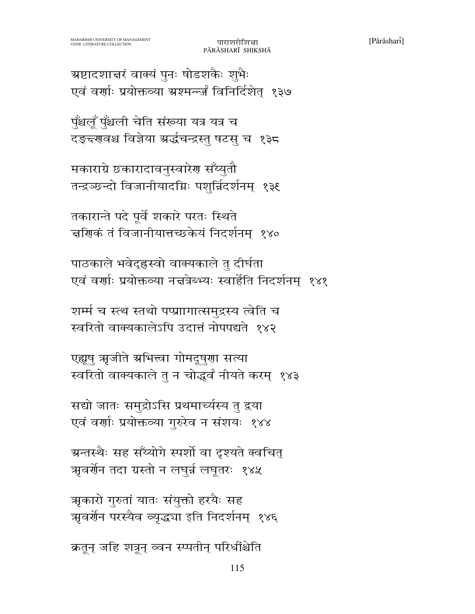क्रतून् जहि शत्रून् व्वन स्प्पतीन् परिधींश्चेति

ऋकारो गुरुतां यातः संयुक्तो हरयैः सह ऋवर्णेन परस्यैव व्यृद्ध्या इति निदर्शनम् १४६

115

ग्रन्तस्थैः सह सँय्योगे स्पर्शो वा दृश्यते क्वचित् ऋवर्णेन तदा ग्रस्तो न लघुर्न लघुतरः १४५

सद्यो जातः समुद्रोऽसि प्रथमार्च्यस्य तु द्वया एवं वर्णाः प्रयोक्तव्या गुरुरेव न संशयः १४४

एह्यूषु ऋजीते ऋभित्त्वा गोमदूषुणा सत्या स्वरितो वाक्यकाले तु न चोद्धर्वं नीयते करम् १४३

शर्म्म च स्त्थ स्तथो पप्प्राागात्समुद्रस्य त्वेति च स्वरितो वाक्यकालेऽपि उदात्तं नोपपद्यते १४२

पाठकाले भवेद्ह्रस्वो वाक्यकाले तु दीर्घता एवं वर्णाः प्रयोक्तव्या नचत्रेब्भ्यः स्वार्हेति निदर्शनम् १४१

तकारान्ते पदे पूर्वे शकारे परतः स्थिते चणिकं तं विजानीयात्तच्छकेयं निदर्शनम् १४०

मकाराग्रे छकारादावनुस्वारेण सँय्युतौ तन्द्रञ्छन्दो विजानीयादग्निः पशुर्न्निदर्शनम् १३६

पुँश्चलूँ पुँश्चली चेति संख्या यत्र यत्र च दङ्द्र्णवश्च विज्ञेया ग्रर्द्धचन्द्रस्तु षटसु च १३८

ग्रष्टादशाचरं वाक्यं पुनः षोडशकैः शुभैः एवं वर्णाः प्रयोक्तव्या ग्रश्मन्ज्जं विनिर्दिशेत् १३७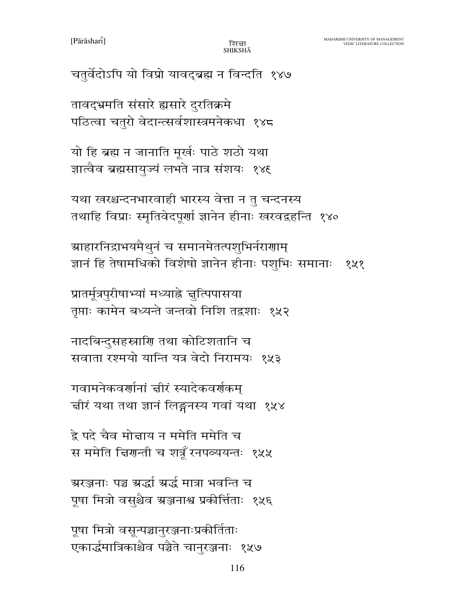$[Pa\bar{r}\bar{a}shar\bar{i}]$ 

१५१

पठित्वा चतुरो वेदान्त्सर्वशास्त्रमनेकधा १४८

यो हि ब्रह्म न जानाति मूर्खः पाठे शठो यथा

ज्ञात्वैव ब्रह्मसायुज्यं लभते नात्र संशयः १४६

यथा खरश्चन्दनभारवाही भारस्य वेत्ता न तु चन्दनस्य

ग्राहारनिद्राभयमैथुनं च समानमेतत्पशुभिर्नराणाम्

तृप्ताः कामेन बध्यन्ते जन्तवो निशि तद्वशाः १५२

सवाता रश्मयो यान्ति यत्र वेदो निरामयः १५३

चीरं यथा तथा ज्ञानं लिङ्गनस्य गवां यथा १५४

स ममेति चिरणन्ती च शत्रूँ रनपव्ययन्तः १५५

पूषा मित्रो वसुश्चैव ग्रञ्जनाश्व प्रकीर्त्तिताः १५६

एकार्द्धमात्रिकाश्चैव पञ्चैते चानुरञ्जनाः १५७

116

प्रातर्मूत्रपुरीषाभ्यां मध्याह्ने जुत्पिपासया

नादबिन्दुसहस्राणि तथा कोटिशतानि च

गवामनेकवर्णानां चीरं स्यादेकवर्णकम्

द्रे पदे चैव मोन्नाय न ममेति ममेति च

ग्ररञ्जनाः पञ्च ग्रर्द्धा ग्रर्द्ध मात्रा भवन्ति च

पूषा मित्रो वसून्पञ्चानुरञ्जनाःप्रकीर्तिताः

तथाहि विप्राः स्मृतिवेदपूर्णा ज्ञानेन हीनाः खरवद्वहन्ति १४०

ज्ञानं हि तेषामधिको विशेषो ज्ञानेन हीनाः पशुभिः समानाः

तावद्भ्रमति संसारे ह्यसारे दुरतिक्रमे

चतुर्वेदोऽपि यो विप्रो यावद्ब्रह्म न विन्दति १४७